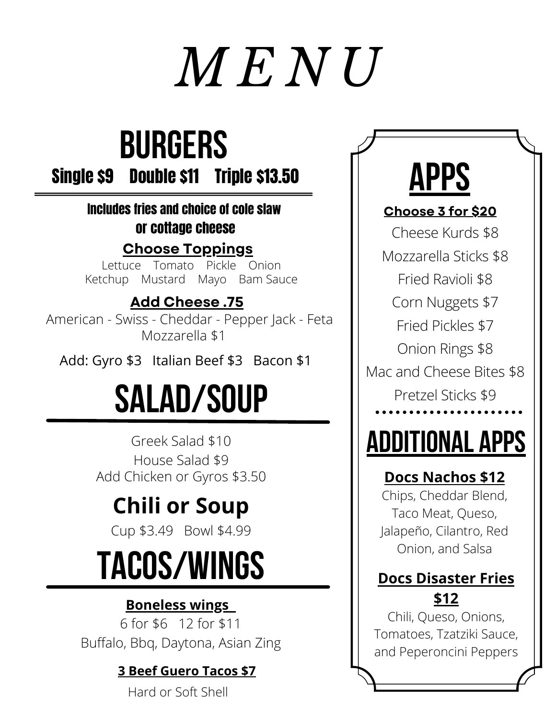# *M E N U*

## **BURGERS**

Single \$9 Double \$11 Triple \$13.50

#### Includes fries and choice of cole slaw or cottage cheese

**Choose Toppings**

Lettuce Tomato Pickle Onion Ketchup Mustard Mayo Bam Sauce

#### **Add Cheese .75**

American - Swiss - Cheddar - Pepper Jack - Feta Mozzarella \$1

Add: Gyro \$3 Italian Beef \$3 Bacon \$1

## **Salad/Soup**

Greek Salad \$10 House Salad \$9 Add Chicken or Gyros \$3.50

### **Chili or Soup**

Cup \$3.49 Bowl \$4.99

## **Tacos/Wings**

#### **Boneless wings**

6 for \$6 12 for \$11 Buffalo, Bbq, Daytona, Asian Zing

#### **3 Beef Guero Tacos \$7**

Hard or Soft Shell



#### **Choose 3 for \$20**

Cheese Kurds \$8

Mozzarella Sticks \$8

Fried Ravioli \$8

Corn Nuggets \$7

Fried Pickles \$7

Onion Rings \$8

Mac and Cheese Bites \$8 Pretzel Sticks \$9

## **Additional Apps**

#### **Docs Nachos \$12**

Chips, Cheddar Blend, Taco Meat, Queso, Jalapeño, Cilantro, Red Onion, and Salsa

#### **Docs Disaster Fries \$12**

Chili, Queso, Onions, Tomatoes, Tzatziki Sauce, and Peperoncini Peppers